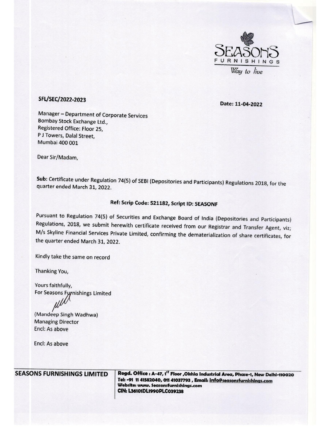

## SFL/SEC/2022-2023 Date: 11-04-2022

Manager — Department of Corporate Services Bombay Stock Exchange Ltd., Registered Office: Floor 25, P J Towers, Dalal Street, Mumbai 400 001 SFL/SEC/2022-2023<br>
Manager – Department of Corporate Services<br>
Bombay Stock Exchange Ltd.,<br>
Registered Office: Floor 25,<br>
P J Towers, Dalal Street,<br>
Mumbai 400 001<br>
Dear Sir/Madam,<br>
Sub: Certificate under Regulation 74(5)

Dear Sir/Madam,

Sub: Certificate under Regulation 74(5) of SEBI (Depositories and Participants) Regulations 2018, for the quarter ended March 31, 2022.

## Ref: Scrip Code: 521182, Script ID; SEASONF

Pursuant to Regulation 74(5) of Securities and Exchange Board of India (Depositories and Participants)<br>Regulations, 2018, we submit herewith certificate received from our Registrar and Transfer Agent, viz;<br>M/s Skyline Fina

Kindly take the same on record

Thanking You,

Yours faithfully, For Seasons Furnishings Limited

(Mandeep Singh Wadhwa) Managing Director Encl: As above

Encl: As above

SEASONS FURNISHINGS LIMITED | Regd. Office : A-47, 1<sup>57</sup> Floor ,Okhia Industrial Area, Phase-1, New Delhi-110020 Tel: -91 11 41582040, O11 41037793 , Email: info@seasonsfurnishings.com Website: www. Seasonsfurnishings.com CIN: L36101DL1990PLC039238